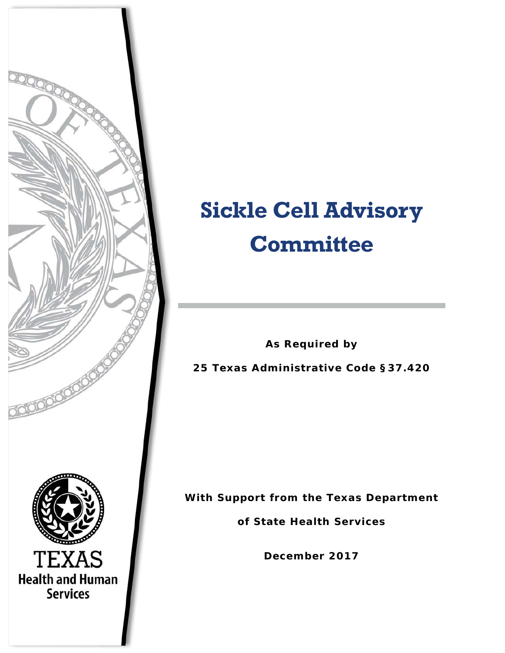

# **Sickle Cell Advisory Committee**

**As Required by**

**25 Texas Administrative Code §37.420**

**With Support from the Texas Department** 

**of State Health Services**

**December 2017**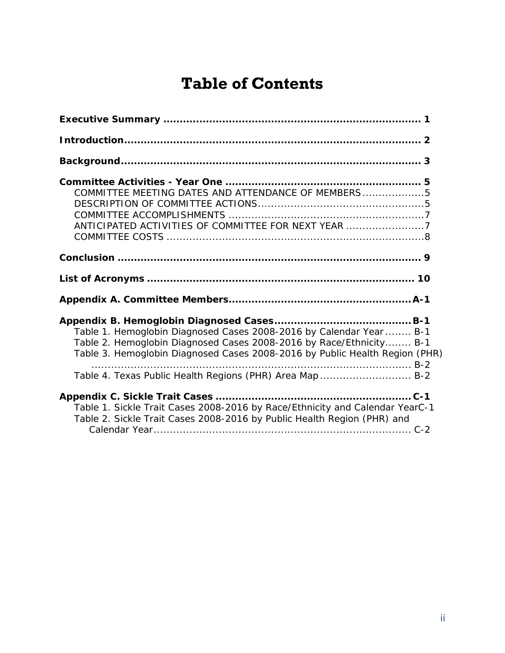# **Table of Contents**

| COMMITTEE MEETING DATES AND ATTENDANCE OF MEMBERS5<br>ANTICIPATED ACTIVITIES OF COMMITTEE FOR NEXT YEAR 7                                                                                                                                                                             |  |
|---------------------------------------------------------------------------------------------------------------------------------------------------------------------------------------------------------------------------------------------------------------------------------------|--|
|                                                                                                                                                                                                                                                                                       |  |
|                                                                                                                                                                                                                                                                                       |  |
|                                                                                                                                                                                                                                                                                       |  |
| Table 1. Hemoglobin Diagnosed Cases 2008-2016 by Calendar Year  B-1<br>Table 2. Hemoglobin Diagnosed Cases 2008-2016 by Race/Ethnicity B-1<br>Table 3. Hemoglobin Diagnosed Cases 2008-2016 by Public Health Region (PHR)<br>Table 4. Texas Public Health Regions (PHR) Area Map  B-2 |  |
| Table 1. Sickle Trait Cases 2008-2016 by Race/Ethnicity and Calendar YearC-1<br>Table 2. Sickle Trait Cases 2008-2016 by Public Health Region (PHR) and                                                                                                                               |  |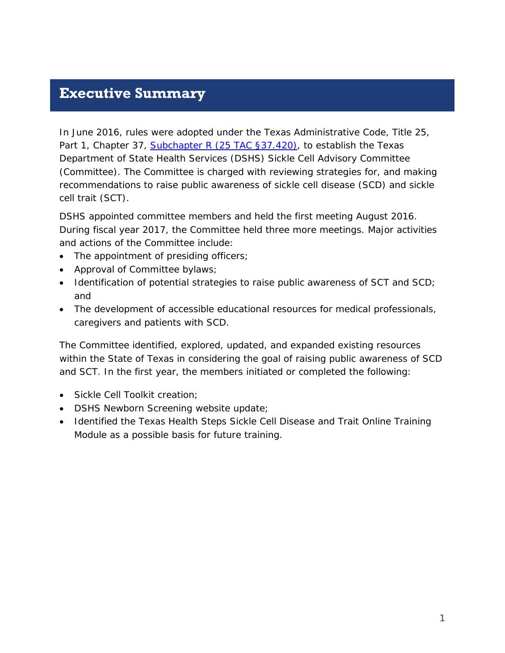### <span id="page-2-0"></span>**Executive Summary**

In June 2016, rules were adopted under the Texas Administrative Code, Title 25, Part 1, Chapter 37, [Subchapter R \(25 TAC §37.420\),](http://texreg.sos.state.tx.us/public/readtac$ext.TacPage?sl=R&app=9&p_dir=&p_rloc=&p_tloc=&p_ploc=&pg=1&p_tac=&ti=25&pt=1&ch=37&rl=420) to establish the Texas Department of State Health Services (DSHS) Sickle Cell Advisory Committee (Committee). The Committee is charged with reviewing strategies for, and making recommendations to raise public awareness of sickle cell disease (SCD) and sickle cell trait (SCT).

DSHS appointed committee members and held the first meeting August 2016. During fiscal year 2017, the Committee held three more meetings. Major activities and actions of the Committee include:

- The appointment of presiding officers;
- Approval of Committee bylaws;
- Identification of potential strategies to raise public awareness of SCT and SCD; and
- The development of accessible educational resources for medical professionals, caregivers and patients with SCD.

The Committee identified, explored, updated, and expanded existing resources within the State of Texas in considering the goal of raising public awareness of SCD and SCT. In the first year, the members initiated or completed the following:

- Sickle Cell Toolkit creation;
- DSHS Newborn Screening website update;
- Identified the Texas Health Steps Sickle Cell Disease and Trait Online Training Module as a possible basis for future training.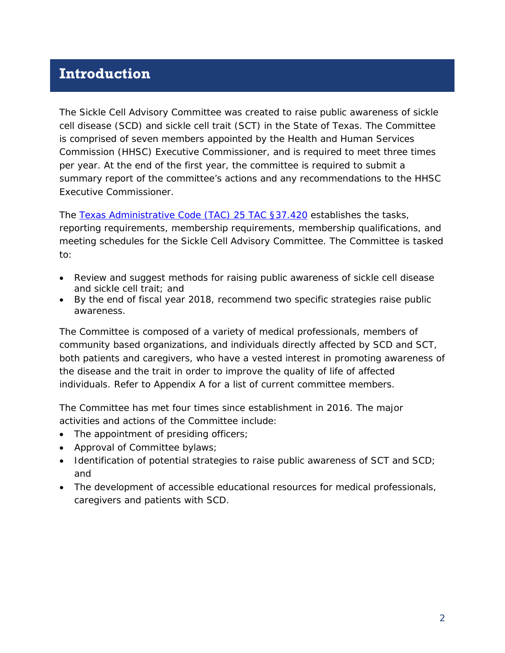### <span id="page-3-0"></span>**Introduction**

The Sickle Cell Advisory Committee was created to raise public awareness of sickle cell disease (SCD) and sickle cell trait (SCT) in the State of Texas. The Committee is comprised of seven members appointed by the Health and Human Services Commission (HHSC) Executive Commissioner, and is required to meet three times per year. At the end of the first year, the committee is required to submit a summary report of the committee's actions and any recommendations to the HHSC Executive Commissioner.

The [Texas Administrative Code \(TAC\) 25 TAC §37.420](http://texreg.sos.state.tx.us/public/readtac$ext.TacPage?sl=R&app=5&p_dir=&p_rloc=178628&p_tloc=&p_ploc=&pg=1&p_tac=178628&ti=25&pt=1&ch=37&rl=420) establishes the tasks, reporting requirements, membership requirements, membership qualifications, and meeting schedules for the Sickle Cell Advisory Committee. The Committee is tasked to:

- Review and suggest methods for raising public awareness of sickle cell disease and sickle cell trait; and
- By the end of fiscal year 2018, recommend two specific strategies raise public awareness.

The Committee is composed of a variety of medical professionals, members of community based organizations, and individuals directly affected by SCD and SCT, both patients and caregivers, who have a vested interest in promoting awareness of the disease and the trait in order to improve the quality of life of affected individuals. Refer to Appendix A for a list of current committee members.

The Committee has met four times since establishment in 2016. The major activities and actions of the Committee include:

- The appointment of presiding officers;
- Approval of Committee bylaws;
- Identification of potential strategies to raise public awareness of SCT and SCD; and
- The development of accessible educational resources for medical professionals, caregivers and patients with SCD.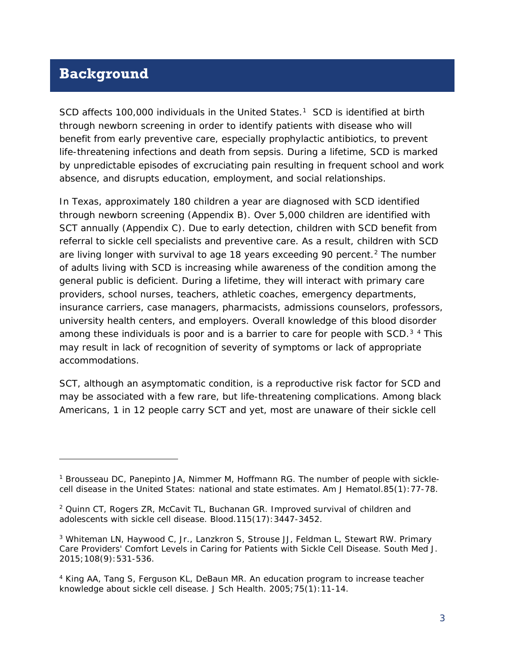### <span id="page-4-0"></span>**Background**

l

SCD affects 100,000 individuals in the United States.<sup>1</sup> SCD is identified at birth through newborn screening in order to identify patients with disease who will benefit from early preventive care, especially prophylactic antibiotics, to prevent life-threatening infections and death from sepsis. During a lifetime, SCD is marked by unpredictable episodes of excruciating pain resulting in frequent school and work absence, and disrupts education, employment, and social relationships.

In Texas, approximately 180 children a year are diagnosed with SCD identified through newborn screening (Appendix B). Over 5,000 children are identified with SCT annually (Appendix C). Due to early detection, children with SCD benefit from referral to sickle cell specialists and preventive care. As a result, children with SCD are living longer with survival to age 18 years exceeding 90 percent.<sup>[2](#page-4-2)</sup> The number of adults living with SCD is increasing while awareness of the condition among the general public is deficient. During a lifetime, they will interact with primary care providers, school nurses, teachers, athletic coaches, emergency departments, insurance carriers, case managers, pharmacists, admissions counselors, professors, university health centers, and employers. Overall knowledge of this blood disorder among these individuals is poor and is a barrier to care for people with SCD. $34$  $34$  This may result in lack of recognition of severity of symptoms or lack of appropriate accommodations.

SCT, although an asymptomatic condition, is a reproductive risk factor for SCD and may be associated with a few rare, but life-threatening complications. Among black Americans, 1 in 12 people carry SCT and yet, most are unaware of their sickle cell

<span id="page-4-1"></span><sup>1</sup> Brousseau DC, Panepinto JA, Nimmer M, Hoffmann RG. The number of people with sicklecell disease in the United States: national and state estimates. *Am J Hematol.*85(1):77-78.

<span id="page-4-2"></span><sup>2</sup> Quinn CT, Rogers ZR, McCavit TL, Buchanan GR. Improved survival of children and adolescents with sickle cell disease. *Blood.*115(17):3447-3452.

<span id="page-4-3"></span><sup>3</sup> Whiteman LN, Haywood C, Jr., Lanzkron S, Strouse JJ, Feldman L, Stewart RW. Primary Care Providers' Comfort Levels in Caring for Patients with Sickle Cell Disease. *South Med J.*  2015;108(9):531-536.

<span id="page-4-4"></span><sup>4</sup> King AA, Tang S, Ferguson KL, DeBaun MR. An education program to increase teacher knowledge about sickle cell disease. *J Sch Health.* 2005;75(1):11-14.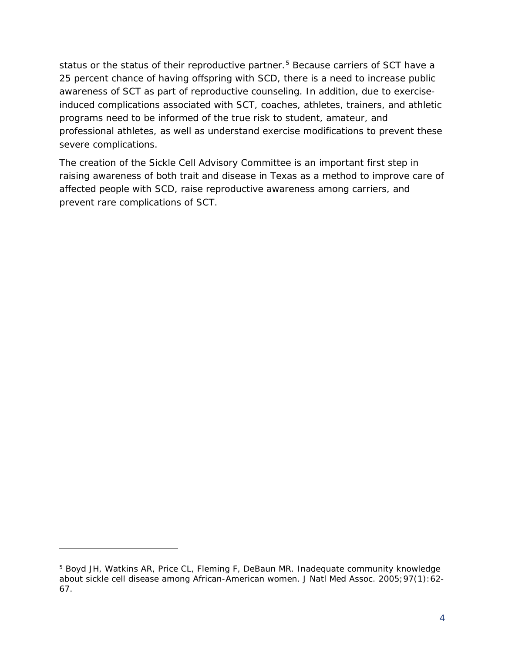status or the status of their reproductive partner.<sup>[5](#page-5-0)</sup> Because carriers of SCT have a 25 percent chance of having offspring with SCD, there is a need to increase public awareness of SCT as part of reproductive counseling. In addition, due to exerciseinduced complications associated with SCT, coaches, athletes, trainers, and athletic programs need to be informed of the true risk to student, amateur, and professional athletes, as well as understand exercise modifications to prevent these severe complications.

The creation of the Sickle Cell Advisory Committee is an important first step in raising awareness of both trait and disease in Texas as a method to improve care of affected people with SCD, raise reproductive awareness among carriers, and prevent rare complications of SCT.

1

<span id="page-5-0"></span><sup>&</sup>lt;sup>5</sup> Boyd JH, Watkins AR, Price CL, Fleming F, DeBaun MR. Inadequate community knowledge about sickle cell disease among African-American women. *J Natl Med Assoc.* 2005;97(1):62- 67.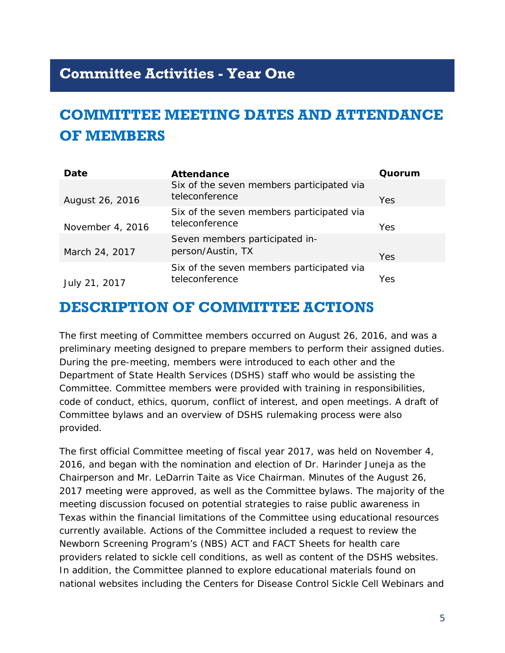## <span id="page-6-0"></span>**Committee Activities - Year One**

# <span id="page-6-1"></span>**COMMITTEE MEETING DATES AND ATTENDANCE OF MEMBERS**

| Date             | <b>Attendance</b>                                           | Quorum |
|------------------|-------------------------------------------------------------|--------|
| August 26, 2016  | Six of the seven members participated via<br>teleconference | Yes    |
| November 4, 2016 | Six of the seven members participated via<br>teleconference | Yes    |
| March 24, 2017   | Seven members participated in-<br>person/Austin, TX         | Yes    |
| July 21, 2017    | Six of the seven members participated via<br>teleconference | Yes    |

### <span id="page-6-2"></span>**DESCRIPTION OF COMMITTEE ACTIONS**

The first meeting of Committee members occurred on August 26, 2016, and was a preliminary meeting designed to prepare members to perform their assigned duties. During the pre-meeting, members were introduced to each other and the Department of State Health Services (DSHS) staff who would be assisting the Committee. Committee members were provided with training in responsibilities, code of conduct, ethics, quorum, conflict of interest, and open meetings. A draft of Committee bylaws and an overview of DSHS rulemaking process were also provided.

The first official Committee meeting of fiscal year 2017, was held on November 4, 2016, and began with the nomination and election of Dr. Harinder Juneja as the Chairperson and Mr. LeDarrin Taite as Vice Chairman. Minutes of the August 26, 2017 meeting were approved, as well as the Committee bylaws. The majority of the meeting discussion focused on potential strategies to raise public awareness in Texas within the financial limitations of the Committee using educational resources currently available. Actions of the Committee included a request to review the Newborn Screening Program's (NBS) ACT and FACT Sheets for health care providers related to sickle cell conditions, as well as content of the DSHS websites. In addition, the Committee planned to explore educational materials found on national websites including the Centers for Disease Control Sickle Cell Webinars and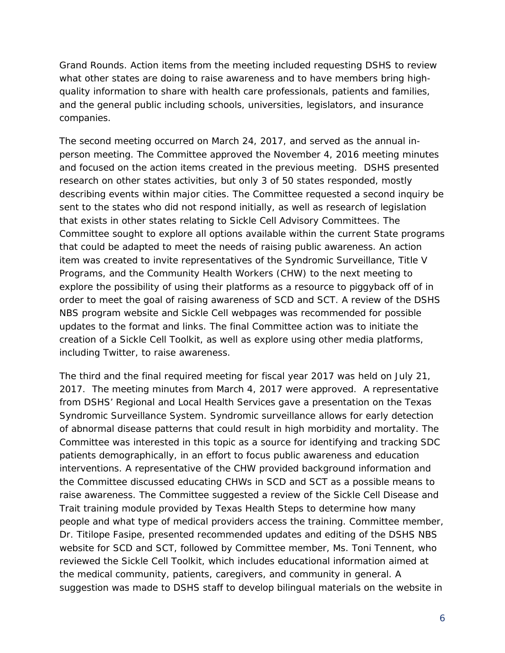Grand Rounds. Action items from the meeting included requesting DSHS to review what other states are doing to raise awareness and to have members bring highquality information to share with health care professionals, patients and families, and the general public including schools, universities, legislators, and insurance companies.

The second meeting occurred on March 24, 2017, and served as the annual inperson meeting. The Committee approved the November 4, 2016 meeting minutes and focused on the action items created in the previous meeting. DSHS presented research on other states activities, but only 3 of 50 states responded, mostly describing events within major cities. The Committee requested a second inquiry be sent to the states who did not respond initially, as well as research of legislation that exists in other states relating to Sickle Cell Advisory Committees. The Committee sought to explore all options available within the current State programs that could be adapted to meet the needs of raising public awareness. An action item was created to invite representatives of the Syndromic Surveillance, Title V Programs, and the Community Health Workers (CHW) to the next meeting to explore the possibility of using their platforms as a resource to piggyback off of in order to meet the goal of raising awareness of SCD and SCT. A review of the DSHS NBS program website and Sickle Cell webpages was recommended for possible updates to the format and links. The final Committee action was to initiate the creation of a Sickle Cell Toolkit, as well as explore using other media platforms, including Twitter, to raise awareness.

The third and the final required meeting for fiscal year 2017 was held on July 21, 2017. The meeting minutes from March 4, 2017 were approved. A representative from DSHS' Regional and Local Health Services gave a presentation on the Texas Syndromic Surveillance System. Syndromic surveillance allows for early detection of abnormal disease patterns that could result in high morbidity and mortality. The Committee was interested in this topic as a source for identifying and tracking SDC patients demographically, in an effort to focus public awareness and education interventions. A representative of the CHW provided background information and the Committee discussed educating CHWs in SCD and SCT as a possible means to raise awareness. The Committee suggested a review of the Sickle Cell Disease and Trait training module provided by Texas Health Steps to determine how many people and what type of medical providers access the training. Committee member, Dr. Titilope Fasipe, presented recommended updates and editing of the DSHS NBS website for SCD and SCT, followed by Committee member, Ms. Toni Tennent, who reviewed the Sickle Cell Toolkit, which includes educational information aimed at the medical community, patients, caregivers, and community in general. A suggestion was made to DSHS staff to develop bilingual materials on the website in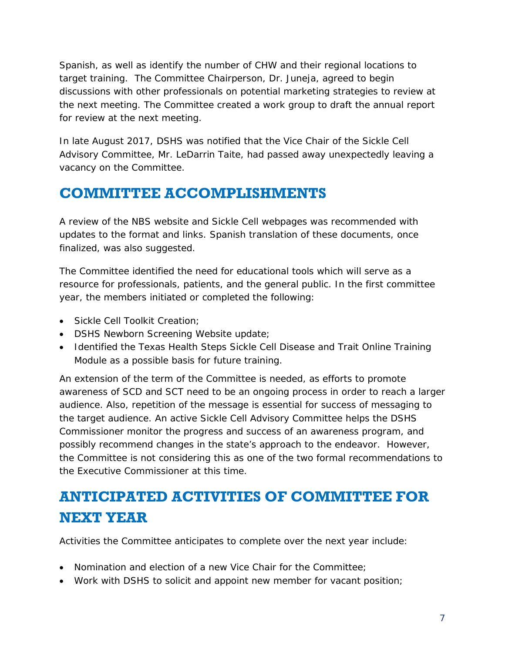Spanish, as well as identify the number of CHW and their regional locations to target training. The Committee Chairperson, Dr. Juneja, agreed to begin discussions with other professionals on potential marketing strategies to review at the next meeting. The Committee created a work group to draft the annual report for review at the next meeting.

In late August 2017, DSHS was notified that the Vice Chair of the Sickle Cell Advisory Committee, Mr. LeDarrin Taite, had passed away unexpectedly leaving a vacancy on the Committee.

# <span id="page-8-0"></span>**COMMITTEE ACCOMPLISHMENTS**

A review of the NBS website and Sickle Cell webpages was recommended with updates to the format and links. Spanish translation of these documents, once finalized, was also suggested.

The Committee identified the need for educational tools which will serve as a resource for professionals, patients, and the general public. In the first committee year, the members initiated or completed the following:

- Sickle Cell Toolkit Creation;
- DSHS Newborn Screening Website update;
- Identified the Texas Health Steps Sickle Cell Disease and Trait Online Training Module as a possible basis for future training.

An extension of the term of the Committee is needed, as efforts to promote awareness of SCD and SCT need to be an ongoing process in order to reach a larger audience. Also, repetition of the message is essential for success of messaging to the target audience. An active Sickle Cell Advisory Committee helps the DSHS Commissioner monitor the progress and success of an awareness program, and possibly recommend changes in the state's approach to the endeavor. However, the Committee is not considering this as one of the two formal recommendations to the Executive Commissioner at this time.

# <span id="page-8-1"></span>**ANTICIPATED ACTIVITIES OF COMMITTEE FOR NEXT YEAR**

Activities the Committee anticipates to complete over the next year include:

- Nomination and election of a new Vice Chair for the Committee;
- Work with DSHS to solicit and appoint new member for vacant position;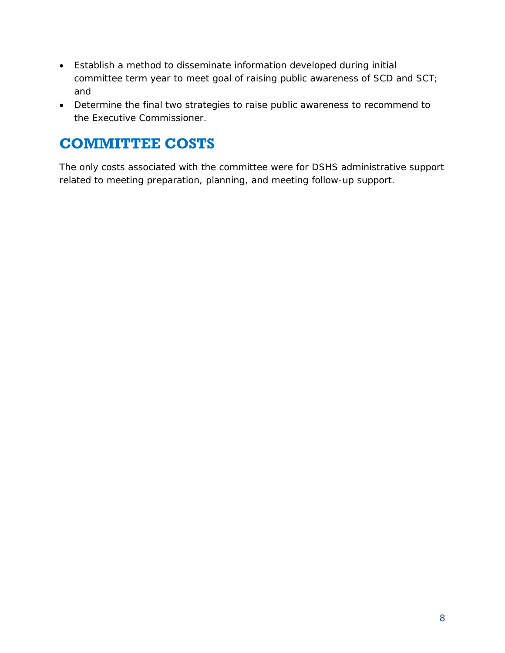- Establish a method to disseminate information developed during initial committee term year to meet goal of raising public awareness of SCD and SCT; and
- Determine the final two strategies to raise public awareness to recommend to the Executive Commissioner.

# <span id="page-9-0"></span>**COMMITTEE COSTS**

The only costs associated with the committee were for DSHS administrative support related to meeting preparation, planning, and meeting follow-up support.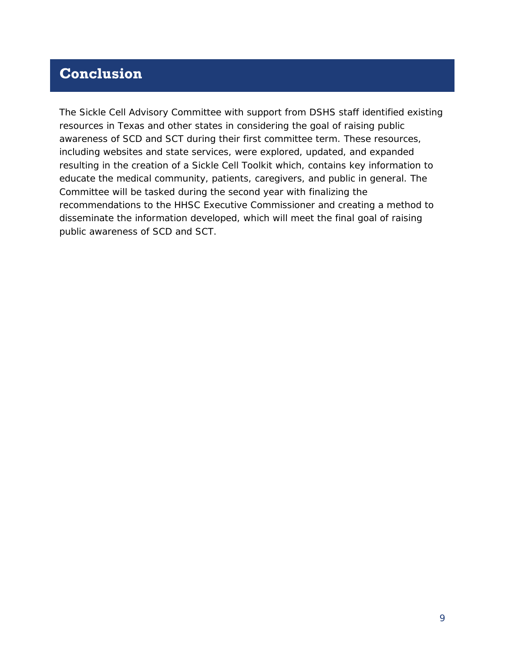## <span id="page-10-0"></span>**Conclusion**

The Sickle Cell Advisory Committee with support from DSHS staff identified existing resources in Texas and other states in considering the goal of raising public awareness of SCD and SCT during their first committee term. These resources, including websites and state services, were explored, updated, and expanded resulting in the creation of a Sickle Cell Toolkit which, contains key information to educate the medical community, patients, caregivers, and public in general. The Committee will be tasked during the second year with finalizing the recommendations to the HHSC Executive Commissioner and creating a method to disseminate the information developed, which will meet the final goal of raising public awareness of SCD and SCT.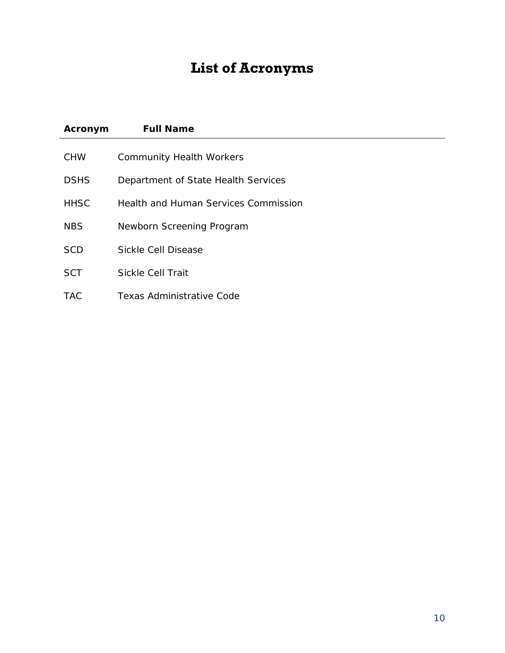# **List of Acronyms**

<span id="page-11-0"></span>

| Acronym     | <b>Full Name</b>                            |
|-------------|---------------------------------------------|
| <b>CHW</b>  | <b>Community Health Workers</b>             |
| <b>DSHS</b> | Department of State Health Services         |
| <b>HHSC</b> | <b>Health and Human Services Commission</b> |
| <b>NBS</b>  | Newborn Screening Program                   |
| <b>SCD</b>  | Sickle Cell Disease                         |
| <b>SCT</b>  | <b>Sickle Cell Trait</b>                    |
| <b>TAC</b>  | <b>Texas Administrative Code</b>            |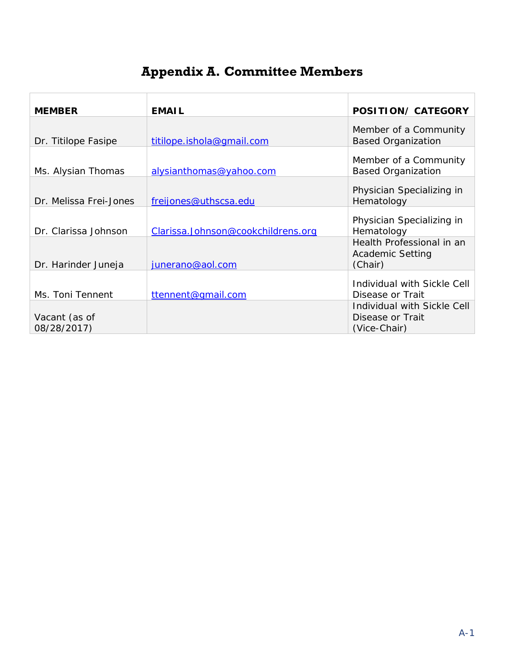# **Appendix A. Committee Members**

<span id="page-12-0"></span>

| <b>MEMBER</b>                | <b>EMAIL</b>                       | <b>POSITION/ CATEGORY</b>                                       |
|------------------------------|------------------------------------|-----------------------------------------------------------------|
| Dr. Titilope Fasipe          | titilope.ishola@gmail.com          | Member of a Community<br><b>Based Organization</b>              |
| Ms. Alysian Thomas           | alysianthomas@yahoo.com            | Member of a Community<br><b>Based Organization</b>              |
| Dr. Melissa Frei-Jones       | freijones@uthscsa.edu              | Physician Specializing in<br>Hematology                         |
| Dr. Clarissa Johnson         | Clarissa.Johnson@cookchildrens.org | Physician Specializing in<br>Hematology                         |
| Dr. Harinder Juneja          | junerano@aol.com                   | Health Professional in an<br><b>Academic Setting</b><br>(Chair) |
| Ms. Toni Tennent             | ttennent@gmail.com                 | Individual with Sickle Cell<br>Disease or Trait                 |
| Vacant (as of<br>08/28/2017) |                                    | Individual with Sickle Cell<br>Disease or Trait<br>(Vice-Chair) |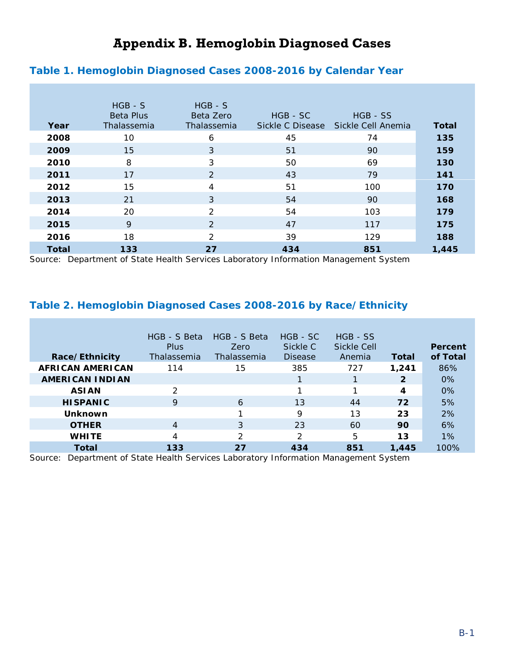### **Appendix B. Hemoglobin Diagnosed Cases**

#### <span id="page-13-1"></span><span id="page-13-0"></span>**Table 1. Hemoglobin Diagnosed Cases 2008-2016 by Calendar Year**

|              | $HGB - S$<br><b>Beta Plus</b> | $HGB - S$<br>Beta Zero | HGB - SC         | HGB - SS           |              |
|--------------|-------------------------------|------------------------|------------------|--------------------|--------------|
| Year         | Thalassemia                   | Thalassemia            | Sickle C Disease | Sickle Cell Anemia | <b>Total</b> |
| 2008         | 10                            | 6                      | 45               | 74                 | 135          |
| 2009         | 15                            | 3                      | 51               | 90                 | 159          |
| 2010         | 8                             | 3                      | 50               | 69                 | 130          |
| 2011         | 17                            | 2                      | 43               | 79                 | 141          |
| 2012         | 15                            | 4                      | 51               | 100                | 170          |
| 2013         | 21                            | 3                      | 54               | 90                 | 168          |
| 2014         | 20                            | 2                      | 54               | 103                | 179          |
| 2015         | 9                             | 2                      | 47               | 117                | 175          |
| 2016         | 18                            | $\mathcal{P}$          | 39               | 129                | 188          |
| <b>Total</b> | 133                           | 27                     | 434              | 851                | 1,445        |

Source: Department of State Health Services Laboratory Information Management System

#### <span id="page-13-2"></span>**Table 2. Hemoglobin Diagnosed Cases 2008-2016 by Race/Ethnicity**

| Race/Ethnicity          | HGB - S Beta<br>Plus<br>Thalassemia | HGB - S Beta<br>Zero<br>Thalassemia | HGB - SC<br>Sickle C<br><b>Disease</b> | HGB - SS<br><b>Sickle Cell</b><br>Anemia | Total        | Percent<br>of Total |
|-------------------------|-------------------------------------|-------------------------------------|----------------------------------------|------------------------------------------|--------------|---------------------|
| <b>AFRICAN AMERICAN</b> | 114                                 | 15                                  | 385                                    | 727                                      | 1,241        | 86%                 |
| <b>AMERICAN INDIAN</b>  |                                     |                                     |                                        |                                          | $\mathbf{2}$ | $0\%$               |
| <b>ASIAN</b>            | 2                                   |                                     |                                        |                                          | 4            | $0\%$               |
| <b>HISPANIC</b>         | 9                                   | 6                                   | 13                                     | 44                                       | 72           | 5%                  |
| Unknown                 |                                     |                                     | 9                                      | 13                                       | 23           | 2%                  |
| <b>OTHER</b>            | $\overline{4}$                      | 3                                   | 23                                     | 60                                       | 90           | 6%                  |
| <b>WHITE</b>            | 4                                   | 2                                   | 2                                      | 5                                        | 13           | $1\%$               |
| Total                   | 133                                 | 27                                  | 434                                    | 851                                      | 1,445        | 100%                |

Source: Department of State Health Services Laboratory Information Management System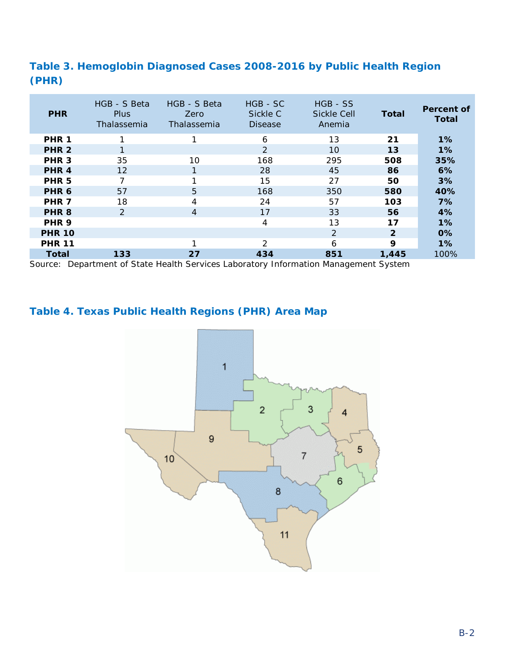### <span id="page-14-0"></span>**Table 3. Hemoglobin Diagnosed Cases 2008-2016 by Public Health Region (PHR)**

| <b>PHR</b>       | HGB - S Beta<br><b>Plus</b><br>Thalassemia | HGB - S Beta<br>Zero<br>Thalassemia | $HGB - SC$<br>Sickle C<br><b>Disease</b> | HGB - SS<br><b>Sickle Cell</b><br>Anemia | Total          | Percent of<br><b>Total</b> |
|------------------|--------------------------------------------|-------------------------------------|------------------------------------------|------------------------------------------|----------------|----------------------------|
| PHR <sub>1</sub> |                                            |                                     | 6                                        | 13                                       | 21             | $1\%$                      |
| PHR <sub>2</sub> |                                            |                                     | $\mathcal{P}$                            | 10                                       | 13             | $1\%$                      |
| PHR <sub>3</sub> | 35                                         | 10                                  | 168                                      | 295                                      | 508            | 35%                        |
| PHR <sub>4</sub> | 12                                         |                                     | 28                                       | 45                                       | 86             | 6%                         |
| PHR <sub>5</sub> | 7                                          |                                     | 15                                       | 27                                       | 50             | 3%                         |
| PHR <sub>6</sub> | 57                                         | $5\overline{)}$                     | 168                                      | 350                                      | 580            | 40%                        |
| PHR <sub>7</sub> | 18                                         | 4                                   | 24                                       | 57                                       | 103            | 7%                         |
| PHR <sub>8</sub> | 2                                          | $\overline{4}$                      | 17                                       | 33                                       | 56             | 4%                         |
| PHR <sub>9</sub> |                                            |                                     | $\overline{4}$                           | 13                                       | 17             | 1%                         |
| <b>PHR 10</b>    |                                            |                                     |                                          | $\mathcal{P}$                            | $\overline{2}$ | $0\%$                      |
| <b>PHR 11</b>    |                                            | ◄                                   | $\mathcal{D}$                            | 6                                        | 9              | 1%                         |
| <b>Total</b>     | 133                                        | 27                                  | 434                                      | 851                                      | 1,445          | 100%                       |

Source: Department of State Health Services Laboratory Information Management System

### <span id="page-14-1"></span>**Table 4. Texas Public Health Regions (PHR) Area Map**

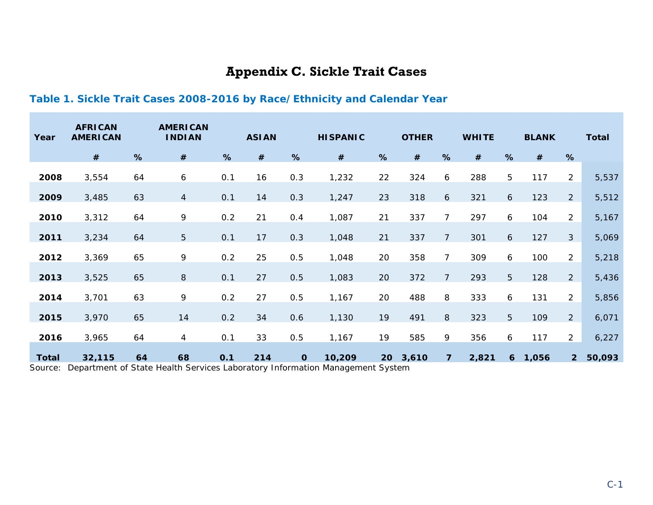## **Appendix C. Sickle Trait Cases**

### **Table 1. Sickle Trait Cases 2008-2016 by Race/Ethnicity and Calendar Year**

<span id="page-15-1"></span><span id="page-15-0"></span>

| Year         | <b>AFRICAN</b><br><b>AMERICAN</b> |    | <b>AMERICAN</b><br><b>INDIAN</b>                                                            |     | <b>ASIAN</b> |             | <b>HISPANIC</b> |    | <b>OTHER</b> |                | <b>WHITE</b> |              | <b>BLANK</b> |                | <b>Total</b> |
|--------------|-----------------------------------|----|---------------------------------------------------------------------------------------------|-----|--------------|-------------|-----------------|----|--------------|----------------|--------------|--------------|--------------|----------------|--------------|
|              | #                                 | %  | $\#$                                                                                        | %   | $\#$         | %           | $\#$            | %  | #            | %              | $\#$         | %            | $\#$         | %              |              |
| 2008         | 3,554                             | 64 | $\boldsymbol{6}$                                                                            | 0.1 | 16           | 0.3         | 1,232           | 22 | 324          | 6              | 288          | 5            | 117          | $\overline{2}$ | 5,537        |
| 2009         | 3,485                             | 63 | $\overline{4}$                                                                              | 0.1 | 14           | 0.3         | 1,247           | 23 | 318          | 6              | 321          | 6            | 123          | $\overline{2}$ | 5,512        |
| 2010         | 3,312                             | 64 | 9                                                                                           | 0.2 | 21           | 0.4         | 1,087           | 21 | 337          | $\overline{7}$ | 297          | 6            | 104          | $\overline{2}$ | 5,167        |
| 2011         | 3,234                             | 64 | $\overline{5}$                                                                              | 0.1 | 17           | 0.3         | 1,048           | 21 | 337          | $\overline{7}$ | 301          | 6            | 127          | 3              | 5,069        |
| 2012         | 3,369                             | 65 | 9                                                                                           | 0.2 | 25           | 0.5         | 1,048           | 20 | 358          | $\overline{7}$ | 309          | 6            | 100          | $\overline{2}$ | 5,218        |
| 2013         | 3,525                             | 65 | $\,8\,$                                                                                     | 0.1 | 27           | 0.5         | 1,083           | 20 | 372          | $\overline{7}$ | 293          | 5            | 128          | $\overline{2}$ | 5,436        |
| 2014         | 3,701                             | 63 | 9                                                                                           | 0.2 | 27           | 0.5         | 1,167           | 20 | 488          | 8              | 333          | 6            | 131          | $\overline{2}$ | 5,856        |
| 2015         | 3,970                             | 65 | 14                                                                                          | 0.2 | 34           | 0.6         | 1,130           | 19 | 491          | 8              | 323          | 5            | 109          | $\overline{2}$ | 6,071        |
| 2016         | 3,965                             | 64 | 4                                                                                           | 0.1 | 33           | 0.5         | 1,167           | 19 | 585          | 9              | 356          | 6            | 117          | $\overline{2}$ | 6,227        |
| <b>Total</b> | 32,115                            | 64 | 68<br>Coursey, Department of State Health Services Laboratory Information Management System | 0.1 | 214          | $\mathbf 0$ | 10,209          | 20 | 3,610        | $\overline{7}$ | 2,821        | $\mathbf{6}$ | 1,056        | $\overline{2}$ | 50,093       |

Source: Department of State Health Services Laboratory Information Management System